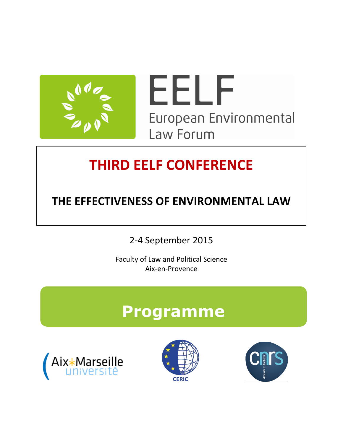

# **THIRD EELF CONFERENCE**

### **THE EFFECTIVENESS OF ENVIRONMENTAL LAW**

2-4 September 2015

Faculty of Law and Political Science Aix-en-Provence

## **Programme**





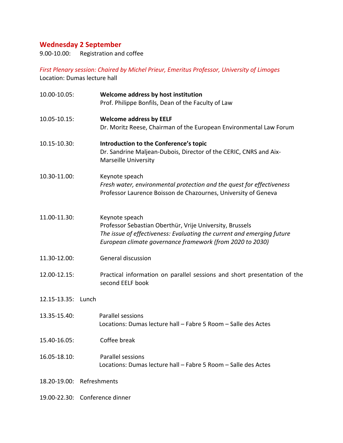### **Wednesday 2 September**

9.00-10.00: Registration and coffee

First Plenary session: Chaired by Michel Prieur, Emeritus Professor, University of Limoges Location: Dumas lecture hall

| 10.00-10.05:       | Welcome address by host institution<br>Prof. Philippe Bonfils, Dean of the Faculty of Law                                                                                                                         |
|--------------------|-------------------------------------------------------------------------------------------------------------------------------------------------------------------------------------------------------------------|
| 10.05-10.15:       | <b>Welcome address by EELF</b><br>Dr. Moritz Reese, Chairman of the European Environmental Law Forum                                                                                                              |
| 10.15-10.30:       | Introduction to the Conference's topic<br>Dr. Sandrine Maljean-Dubois, Director of the CERIC, CNRS and Aix-<br><b>Marseille University</b>                                                                        |
| 10.30-11.00:       | Keynote speach<br>Fresh water, environmental protection and the quest for effectiveness<br>Professor Laurence Boisson de Chazournes, University of Geneva                                                         |
| 11.00-11.30:       | Keynote speach<br>Professor Sebastian Oberthür, Vrije University, Brussels<br>The issue of effectiveness: Evaluating the current and emerging future<br>European climate governance framework (from 2020 to 2030) |
| 11.30-12.00:       | General discussion                                                                                                                                                                                                |
| 12.00-12.15:       | Practical information on parallel sessions and short presentation of the<br>second EELF book                                                                                                                      |
| 12.15-13.35: Lunch |                                                                                                                                                                                                                   |
| 13.35-15.40:       | Parallel sessions<br>Locations: Dumas lecture hall - Fabre 5 Room - Salle des Actes                                                                                                                               |
| 15.40-16.05:       | Coffee break                                                                                                                                                                                                      |
| 16.05-18.10:       | Parallel sessions<br>Locations: Dumas lecture hall - Fabre 5 Room - Salle des Actes                                                                                                                               |
|                    | 18.20-19.00: Refreshments                                                                                                                                                                                         |
|                    | 19.00-22.30: Conference dinner                                                                                                                                                                                    |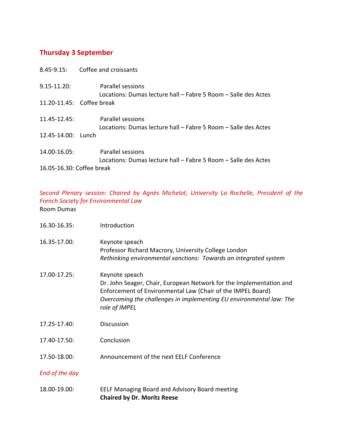#### **Thursday 3 September**

|                           | 8.45-9.15: Coffee and croissants                                                           |
|---------------------------|--------------------------------------------------------------------------------------------|
| $9.15 - 11.20$ :          | Parallel sessions<br>Locations: Dumas lecture hall – Fabre 5 Room – Salle des Actes        |
| 11.20-11.45: Coffee break |                                                                                            |
| $11.45 - 12.45$ :         | Parallel sessions<br>Locations: Dumas lecture hall - Fabre 5 Room - Salle des Actes        |
| 12.45-14.00: Lunch        |                                                                                            |
| 14.00-16.05:              | <b>Parallel sessions</b><br>Locations: Dumas lecture hall - Fabre 5 Room - Salle des Actes |
| 16.05-16.30: Coffee break |                                                                                            |

*Second Plenary session: Chaired by Agnès Michelot, University La Rochelle, President of the French Society for Environmental Law* Room Dumas

| 16.30-16.35:   | Introduction                                                                                                                                                                                                                                 |
|----------------|----------------------------------------------------------------------------------------------------------------------------------------------------------------------------------------------------------------------------------------------|
| 16.35-17.00:   | Keynote speach<br>Professor Richard Macrory, University College London<br>Rethinking environmental sanctions: Towards an integrated system                                                                                                   |
| 17.00-17.25:   | Keynote speach<br>Dr. John Seager, Chair, European Network for the Implementation and<br>Enforcement of Environmental Law (Chair of the IMPEL Board)<br>Overcoming the challenges in implementing EU environmental law: The<br>role of IMPEL |
| 17.25-17.40:   | <b>Discussion</b>                                                                                                                                                                                                                            |
| 17.40-17.50:   | Conclusion                                                                                                                                                                                                                                   |
| 17.50-18.00:   | Announcement of the next EELF Conference                                                                                                                                                                                                     |
| End of the day |                                                                                                                                                                                                                                              |
| 18.00-19.00:   | EELF Managing Board and Advisory Board meeting<br><b>Chaired by Dr. Moritz Reese</b>                                                                                                                                                         |